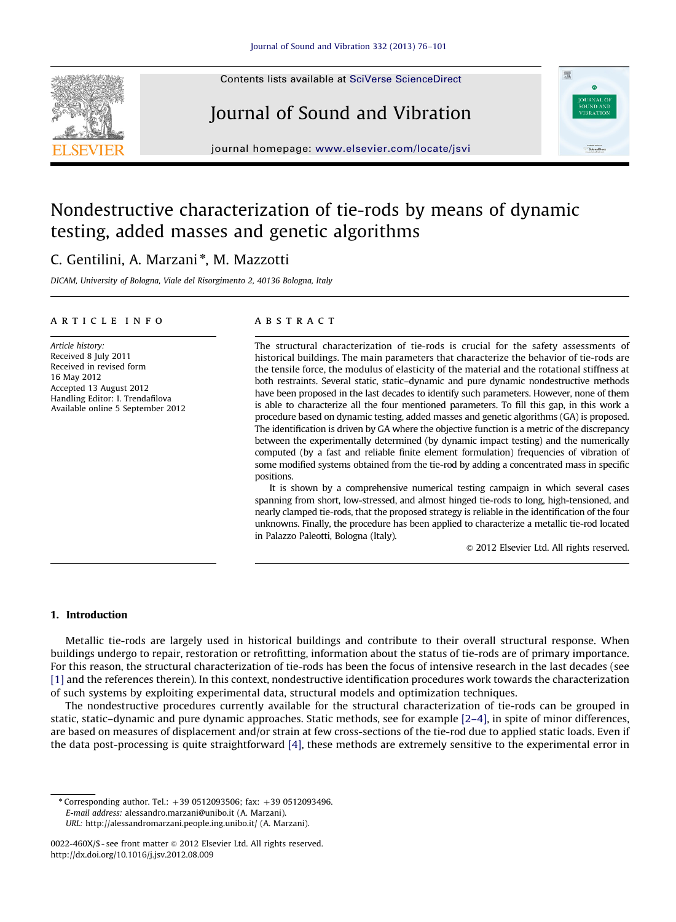

## Journal of Sound and Vibration



journal homepage: <www.elsevier.com/locate/jsvi>

### Nondestructive characterization of tie-rods by means of dynamic testing, added masses and genetic algorithms

### C. Gentilini, A. Marzani\*, M. Mazzotti

DICAM, University of Bologna, Viale del Risorgimento 2, 40136 Bologna, Italy

#### article info

Article history: Received 8 July 2011 Received in revised form 16 May 2012 Accepted 13 August 2012 Handling Editor: I. Trendafilova Available online 5 September 2012

#### **ABSTRACT**

The structural characterization of tie-rods is crucial for the safety assessments of historical buildings. The main parameters that characterize the behavior of tie-rods are the tensile force, the modulus of elasticity of the material and the rotational stiffness at both restraints. Several static, static–dynamic and pure dynamic nondestructive methods have been proposed in the last decades to identify such parameters. However, none of them is able to characterize all the four mentioned parameters. To fill this gap, in this work a procedure based on dynamic testing, added masses and genetic algorithms (GA) is proposed. The identification is driven by GA where the objective function is a metric of the discrepancy between the experimentally determined (by dynamic impact testing) and the numerically computed (by a fast and reliable finite element formulation) frequencies of vibration of some modified systems obtained from the tie-rod by adding a concentrated mass in specific positions.

It is shown by a comprehensive numerical testing campaign in which several cases spanning from short, low-stressed, and almost hinged tie-rods to long, high-tensioned, and nearly clamped tie-rods, that the proposed strategy is reliable in the identification of the four unknowns. Finally, the procedure has been applied to characterize a metallic tie-rod located in Palazzo Paleotti, Bologna (Italy).

 $\odot$  2012 Elsevier Ltd. All rights reserved.

#### 1. Introduction

Metallic tie-rods are largely used in historical buildings and contribute to their overall structural response. When buildings undergo to repair, restoration or retrofitting, information about the status of tie-rods are of primary importance. For this reason, the structural characterization of tie-rods has been the focus of intensive research in the last decades (see [\[1\]](#page--1-0) and the references therein). In this context, nondestructive identification procedures work towards the characterization of such systems by exploiting experimental data, structural models and optimization techniques.

The nondestructive procedures currently available for the structural characterization of tie-rods can be grouped in static, static–dynamic and pure dynamic approaches. Static methods, see for example [\[2–4\]](#page--1-0), in spite of minor differences, are based on measures of displacement and/or strain at few cross-sections of the tie-rod due to applied static loads. Even if the data post-processing is quite straightforward [\[4\],](#page--1-0) these methods are extremely sensitive to the experimental error in

 $*$  Corresponding author. Tel.:  $+39$  0512093506; fax:  $+39$  0512093496. E-mail address: [alessandro.marzani@unibo.it \(A. Marzani\)](mailto:alessandro.marzani@unibo.it). URL: [http://alessandromarzani.people.ing.unibo.it/ \(A. Marzani\).](http://alessandromarzani.people.ing.unibo.it/)

<sup>0022-460</sup>X/\$ - see front matter  $\odot$  2012 Elsevier Ltd. All rights reserved. [http://dx.doi.org/10.1016/j.jsv.2012.08.009](dx.doi.org/10.1016/j.jsv.2012.08.009)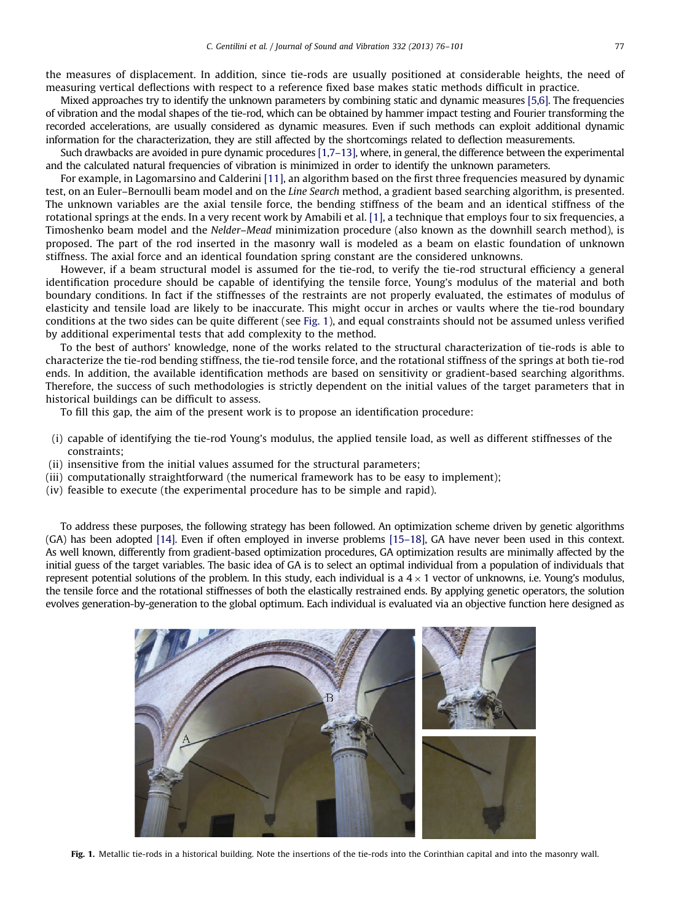the measures of displacement. In addition, since tie-rods are usually positioned at considerable heights, the need of measuring vertical deflections with respect to a reference fixed base makes static methods difficult in practice.

Mixed approaches try to identify the unknown parameters by combining static and dynamic measures [\[5,6\].](#page--1-0) The frequencies of vibration and the modal shapes of the tie-rod, which can be obtained by hammer impact testing and Fourier transforming the recorded accelerations, are usually considered as dynamic measures. Even if such methods can exploit additional dynamic information for the characterization, they are still affected by the shortcomings related to deflection measurements.

Such drawbacks are avoided in pure dynamic procedures [\[1,7–13\]](#page--1-0), where, in general, the difference between the experimental and the calculated natural frequencies of vibration is minimized in order to identify the unknown parameters.

For example, in Lagomarsino and Calderini [\[11\]](#page--1-0), an algorithm based on the first three frequencies measured by dynamic test, on an Euler-Bernoulli beam model and on the Line Search method, a gradient based searching algorithm, is presented. The unknown variables are the axial tensile force, the bending stiffness of the beam and an identical stiffness of the rotational springs at the ends. In a very recent work by Amabili et al. [\[1\]](#page--1-0), a technique that employs four to six frequencies, a Timoshenko beam model and the Nelder–Mead minimization procedure (also known as the downhill search method), is proposed. The part of the rod inserted in the masonry wall is modeled as a beam on elastic foundation of unknown stiffness. The axial force and an identical foundation spring constant are the considered unknowns.

However, if a beam structural model is assumed for the tie-rod, to verify the tie-rod structural efficiency a general identification procedure should be capable of identifying the tensile force, Young's modulus of the material and both boundary conditions. In fact if the stiffnesses of the restraints are not properly evaluated, the estimates of modulus of elasticity and tensile load are likely to be inaccurate. This might occur in arches or vaults where the tie-rod boundary conditions at the two sides can be quite different (see Fig. 1), and equal constraints should not be assumed unless verified by additional experimental tests that add complexity to the method.

To the best of authors' knowledge, none of the works related to the structural characterization of tie-rods is able to characterize the tie-rod bending stiffness, the tie-rod tensile force, and the rotational stiffness of the springs at both tie-rod ends. In addition, the available identification methods are based on sensitivity or gradient-based searching algorithms. Therefore, the success of such methodologies is strictly dependent on the initial values of the target parameters that in historical buildings can be difficult to assess.

To fill this gap, the aim of the present work is to propose an identification procedure:

- (i) capable of identifying the tie-rod Young's modulus, the applied tensile load, as well as different stiffnesses of the constraints;
- (ii) insensitive from the initial values assumed for the structural parameters;
- (iii) computationally straightforward (the numerical framework has to be easy to implement);
- (iv) feasible to execute (the experimental procedure has to be simple and rapid).

To address these purposes, the following strategy has been followed. An optimization scheme driven by genetic algorithms (GA) has been adopted [\[14\].](#page--1-0) Even if often employed in inverse problems [\[15–18\]](#page--1-0), GA have never been used in this context. As well known, differently from gradient-based optimization procedures, GA optimization results are minimally affected by the initial guess of the target variables. The basic idea of GA is to select an optimal individual from a population of individuals that represent potential solutions of the problem. In this study, each individual is a 4  $\times$  1 vector of unknowns, i.e. Young's modulus, the tensile force and the rotational stiffnesses of both the elastically restrained ends. By applying genetic operators, the solution evolves generation-by-generation to the global optimum. Each individual is evaluated via an objective function here designed as



Fig. 1. Metallic tie-rods in a historical building. Note the insertions of the tie-rods into the Corinthian capital and into the masonry wall.